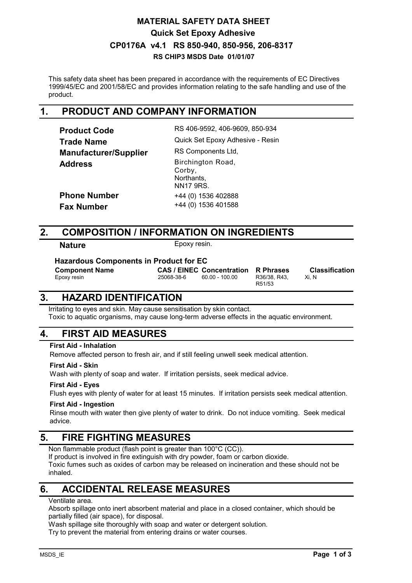## **CP0176A v4.1 RS 850-940, 850-956, 206-8317 RS CHIP3 MSDS Date 01/01/07 MATERIAL SAFETY DATA SHEET Quick Set Epoxy Adhesive**

This safety data sheet has been prepared in accordance with the requirements of EC Directives 1999/45/EC and 2001/58/EC and provides information relating to the safe handling and use of the product.

## **1. PRODUCT AND COMPANY INFORMATION**

| <b>Product Code</b>          | RS 406-9592, 406-9609, 850-934                                |
|------------------------------|---------------------------------------------------------------|
| Trade Name                   | Quick Set Epoxy Adhesive - Resin                              |
| <b>Manufacturer/Supplier</b> | RS Components Ltd,                                            |
| <b>Address</b>               | Birchington Road,<br>Corby,<br>Northants,<br><b>NN17 9RS.</b> |
| <b>Phone Number</b>          | +44 (0) 1536 402888                                           |
| Fax Number                   | +44 (0) 1536 401588                                           |
|                              |                                                               |

## **2. COMPOSITION / INFORMATION ON INGREDIENTS**

**Nature** Epoxy resin.

**Hazardous Components in Product for EC**

**Component Name** CAS / EINEC Concentration R Phrases Classification<br>
Epoxy resin 25068-38-6 60.00 - 100.00 R36/38, R43, Xi, N

R36/38, R43, R51/53

Xi, N

## **3. HAZARD IDENTIFICATION**

Irritating to eyes and skin. May cause sensitisation by skin contact. Toxic to aquatic organisms, may cause long-term adverse effects in the aquatic environment.

# **4. FIRST AID MEASURES**

### **First Aid - Inhalation**

Remove affected person to fresh air, and if still feeling unwell seek medical attention.

#### **First Aid - Skin**

Wash with plenty of soap and water. If irritation persists, seek medical advice.

### **First Aid - Eyes**

Flush eyes with plenty of water for at least 15 minutes. If irritation persists seek medical attention.

#### **First Aid - Ingestion**

Rinse mouth with water then give plenty of water to drink. Do not induce vomiting. Seek medical advice.

## **5. FIRE FIGHTING MEASURES**

Non flammable product (flash point is greater than 100°C (CC)).

If product is involved in fire extinguish with dry powder, foam or carbon dioxide. Toxic fumes such as oxides of carbon may be released on incineration and these should not be inhaled.

# **6. ACCIDENTAL RELEASE MEASURES**

#### Ventilate area.

Absorb spillage onto inert absorbent material and place in a closed container, which should be partially filled (air space), for disposal.

Wash spillage site thoroughly with soap and water or detergent solution.

Try to prevent the material from entering drains or water courses.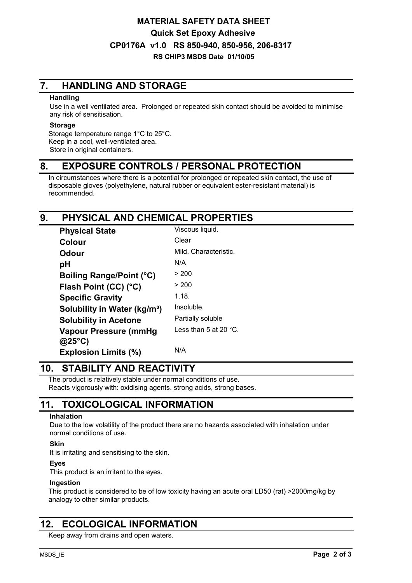## **CP0176A v1.0 RS 850-940, 850-956, 206-8317 RS CHIP3 MSDS Date 01/10/05 MATERIAL SAFETY DATA SHEET Quick Set Epoxy Adhesive**

# **7. HANDLING AND STORAGE**

#### **Handling**

Use in a well ventilated area. Prolonged or repeated skin contact should be avoided to minimise any risk of sensitisation.

#### **Storage**

Storage temperature range 1°C to 25°C. Keep in a cool, well-ventilated area. Store in original containers.

## **8. EXPOSURE CONTROLS / PERSONAL PROTECTION**

In circumstances where there is a potential for prolonged or repeated skin contact, the use of disposable gloves (polyethylene, natural rubber or equivalent ester-resistant material) is recommended.

## **9. PHYSICAL AND CHEMICAL PROPERTIES**

| <b>Physical State</b>                    | Viscous liquid.                 |
|------------------------------------------|---------------------------------|
| Colour                                   | Clear                           |
| Odour                                    | Mild. Characteristic.           |
| рH                                       | N/A                             |
| <b>Boiling Range/Point (°C)</b>          | > 200                           |
| Flash Point (CC) (°C)                    | > 200                           |
| <b>Specific Gravity</b>                  | 1.18.                           |
| Solubility in Water (kg/m <sup>3</sup> ) | Insoluble.                      |
| <b>Solubility in Acetone</b>             | Partially soluble               |
| <b>Vapour Pressure (mmHg</b>             | Less than 5 at 20 $^{\circ}$ C. |
| $@25^{\circ}C)$                          |                                 |
| <b>Explosion Limits (%)</b>              | N/A                             |

## **10. STABILITY AND REACTIVITY**

The product is relatively stable under normal conditions of use. Reacts vigorously with: oxidising agents. strong acids, strong bases.

# **11. TOXICOLOGICAL INFORMATION**

#### **Inhalation**

Due to the low volatility of the product there are no hazards associated with inhalation under normal conditions of use.

#### **Skin**

It is irritating and sensitising to the skin.

### **Eyes**

This product is an irritant to the eyes.

#### **Ingestion**

This product is considered to be of low toxicity having an acute oral LD50 (rat) >2000mg/kg by analogy to other similar products.

## **12. ECOLOGICAL INFORMATION**

Keep away from drains and open waters.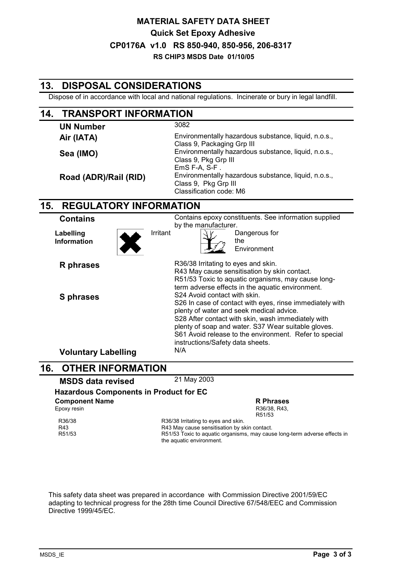## **CP0176A v1.0 RS 850-940, 850-956, 206-8317 RS CHIP3 MSDS Date 01/10/05 MATERIAL SAFETY DATA SHEET Quick Set Epoxy Adhesive**

#### **13. DISPOSAL CONSIDERATIONS** Dispose of in accordance with local and national regulations. Incinerate or bury in legal landfill. **14. TRANSPORT INFORMATION UN Number** 3082 Air (IATA) **Environmentally hazardous substance, liquid, n.o.s.,** Class 9, Packaging Grp III Sea (IMO) **Sea (IMO)** Environmentally hazardous substance, liquid, n.o.s., Class 9, Pkg Grp III EmS F-A, S-F . **Road (ADR)/Rail (RID)** Environmentally hazardous substance, liquid, n.o.s., Class 9, Pkg Grp III Classification code: M6 **15. REGULATORY INFORMATION Contains Contains** Contains epoxy constituents. See information supplied by the manufacturer. **Labelling Information** Irritant  $\sqrt{\sqrt{V}}$  Dangerous for the Environment **R** phrases R36/38 Irritating to eyes and skin. R43 May cause sensitisation by skin contact. R51/53 Toxic to aquatic organisms, may cause longterm adverse effects in the aquatic environment. **S phrases** S24 Avoid contact with skin. S26 In case of contact with eyes, rinse immediately with plenty of water and seek medical advice. S28 After contact with skin, wash immediately with plenty of soap and water. S37 Wear suitable gloves. S61 Avoid release to the environment. Refer to special instructions/Safety data sheets. **Voluntary Labelling** N/A **16. OTHER INFORMATION MSDS data revised** 21 May 2003 **Hazardous Components in Product for EC Component Name Component Name R Phrases**<br>
Epoxy resin Epoxy resin R51/53 R36/38 R36/38 Irritating to eyes and skin.<br>R43 R43 May cause sensitisation by sl R43 R43 R43 May cause sensitisation by skin contact.<br>R51/53 R51/53 Toxic to aquatic organisms, may caus R51/53 R51/53 Toxic to aquatic organisms, may cause long-term adverse effects in the aquatic environment.

This safety data sheet was prepared in accordance with Commission Directive 2001/59/EC adapting to technical progress for the 28th time Council Directive 67/548/EEC and Commission Directive 1999/45/EC.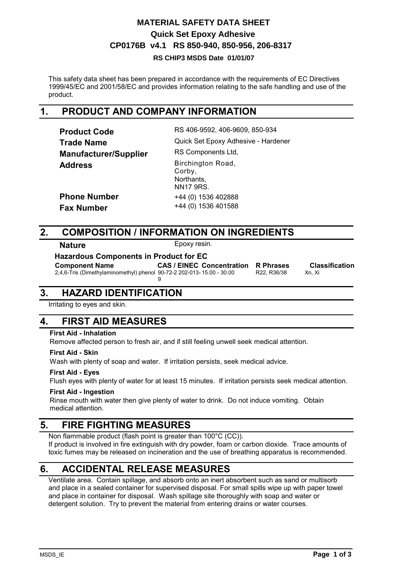# **CP0176B v4.1 RS 850-940, 850-956, 206-8317 MATERIAL SAFETY DATA SHEET Quick Set Epoxy Adhesive**

#### **RS CHIP3 MSDS Date 01/01/07**

This safety data sheet has been prepared in accordance with the requirements of EC Directives 1999/45/EC and 2001/58/EC and provides information relating to the safe handling and use of the product.

## **1. PRODUCT AND COMPANY INFORMATION**

| <b>Product Code</b>          | RS 406-9592, 406-9609, 850-934                                |
|------------------------------|---------------------------------------------------------------|
| <b>Trade Name</b>            | Quick Set Epoxy Adhesive - Hardener                           |
| <b>Manufacturer/Supplier</b> | RS Components Ltd,                                            |
| <b>Address</b>               | Birchington Road,<br>Corby,<br>Northants,<br><b>NN17 9RS.</b> |
| <b>Phone Number</b>          | +44 (0) 1536 402888                                           |
| <b>Fax Number</b>            | +44 (0) 1536 401588                                           |

## **2. COMPOSITION / INFORMATION ON INGREDIENTS**

9

**Nature** Epoxy resin.

**Hazardous Components in Product for EC**

**Component Name** CAS / EINEC Concentration R Phrases Classification 2.4.6-Tris (Dimethylaminomethyl) phenol 90-72-2 202-013-15.00 - 30.00 R22, R36/38 Xn, Xi 2,4,6-Tris (Dimethylaminomethyl) phenol 90-72-2 202-013- 15.00 - 30.00 R22, R36/38 Xn, Xi

## **3. HAZARD IDENTIFICATION**

Irritating to eyes and skin.

## **4. FIRST AID MEASURES**

#### **First Aid - Inhalation**

Remove affected person to fresh air, and if still feeling unwell seek medical attention.

#### **First Aid - Skin**

Wash with plenty of soap and water. If irritation persists, seek medical advice.

#### **First Aid - Eyes**

Flush eyes with plenty of water for at least 15 minutes. If irritation persists seek medical attention.

#### **First Aid - Ingestion**

Rinse mouth with water then give plenty of water to drink. Do not induce vomiting. Obtain medical attention.

## **5. FIRE FIGHTING MEASURES**

Non flammable product (flash point is greater than 100°C (CC)). If product is involved in fire extinguish with dry powder, foam or carbon dioxide. Trace amounts of toxic fumes may be released on incineration and the use of breathing apparatus is recommended.

## **6. ACCIDENTAL RELEASE MEASURES**

Ventilate area. Contain spillage, and absorb onto an inert absorbent such as sand or multisorb and place in a sealed container for supervised disposal. For small spills wipe up with paper towel and place in container for disposal. Wash spillage site thoroughly with soap and water or detergent solution. Try to prevent the material from entering drains or water courses.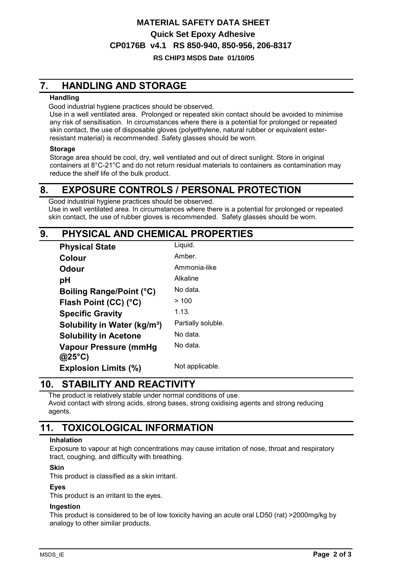# **CP0176B v4.1 RS 850-940, 850-956, 206-8317 MATERIAL SAFETY DATA SHEET Quick Set Epoxy Adhesive**

#### **RS CHIP3 MSDS Date 01/10/05**

# **7. HANDLING AND STORAGE**

#### **Handling**

Good industrial hygiene practices should be observed.

Use in a well ventilated area. Prolonged or repeated skin contact should be avoided to minimise any risk of sensitisation. In circumstances where there is a potential for prolonged or repeated skin contact, the use of disposable gloves (polyethylene, natural rubber or equivalent esterresistant material) is recommended. Safety glasses should be worn.

#### **Storage**

Storage area should be cool, dry, well ventilated and out of direct sunlight. Store in original containers at 8°C-21°C and do not return residual materials to containers as contamination may reduce the shelf life of the bulk product.

## **8. EXPOSURE CONTROLS / PERSONAL PROTECTION**

Good industrial hygiene practices should be observed. Use in well ventilated area. In circumstances where there is a potential for prolonged or repeated skin contact, the use of rubber gloves is recommended. Safety glasses should be worn.

## **9. PHYSICAL AND CHEMICAL PROPERTIES**

| <b>Physical State</b>                    | Liquid.            |
|------------------------------------------|--------------------|
| Colour                                   | Amber.             |
| Odour                                    | Ammonia-like       |
| рH                                       | Alkaline           |
| <b>Boiling Range/Point (°C)</b>          | No data.           |
| Flash Point (CC) (°C)                    | >100               |
| <b>Specific Gravity</b>                  | 1.13.              |
| Solubility in Water (kg/m <sup>3</sup> ) | Partially soluble. |
| <b>Solubility in Acetone</b>             | No data.           |
| Vapour Pressure (mmHg                    | No data.           |
| $@25^{\circ}C)$                          |                    |
| <b>Explosion Limits (%)</b>              | Not applicable.    |

# **10. STABILITY AND REACTIVITY**

The product is relatively stable under normal conditions of use. Avoid contact with strong acids, strong bases, strong oxidising agents and strong reducing agents.

## **11. TOXICOLOGICAL INFORMATION**

#### **Inhalation**

Exposure to vapour at high concentrations may cause irritation of nose, throat and respiratory tract, coughing, and difficulty with breathing.

#### **Skin**

This product is classified as a skin irritant.

### **Eyes**

This product is an irritant to the eyes.

#### **Ingestion**

This product is considered to be of low toxicity having an acute oral LD50 (rat) >2000mg/kg by analogy to other similar products.